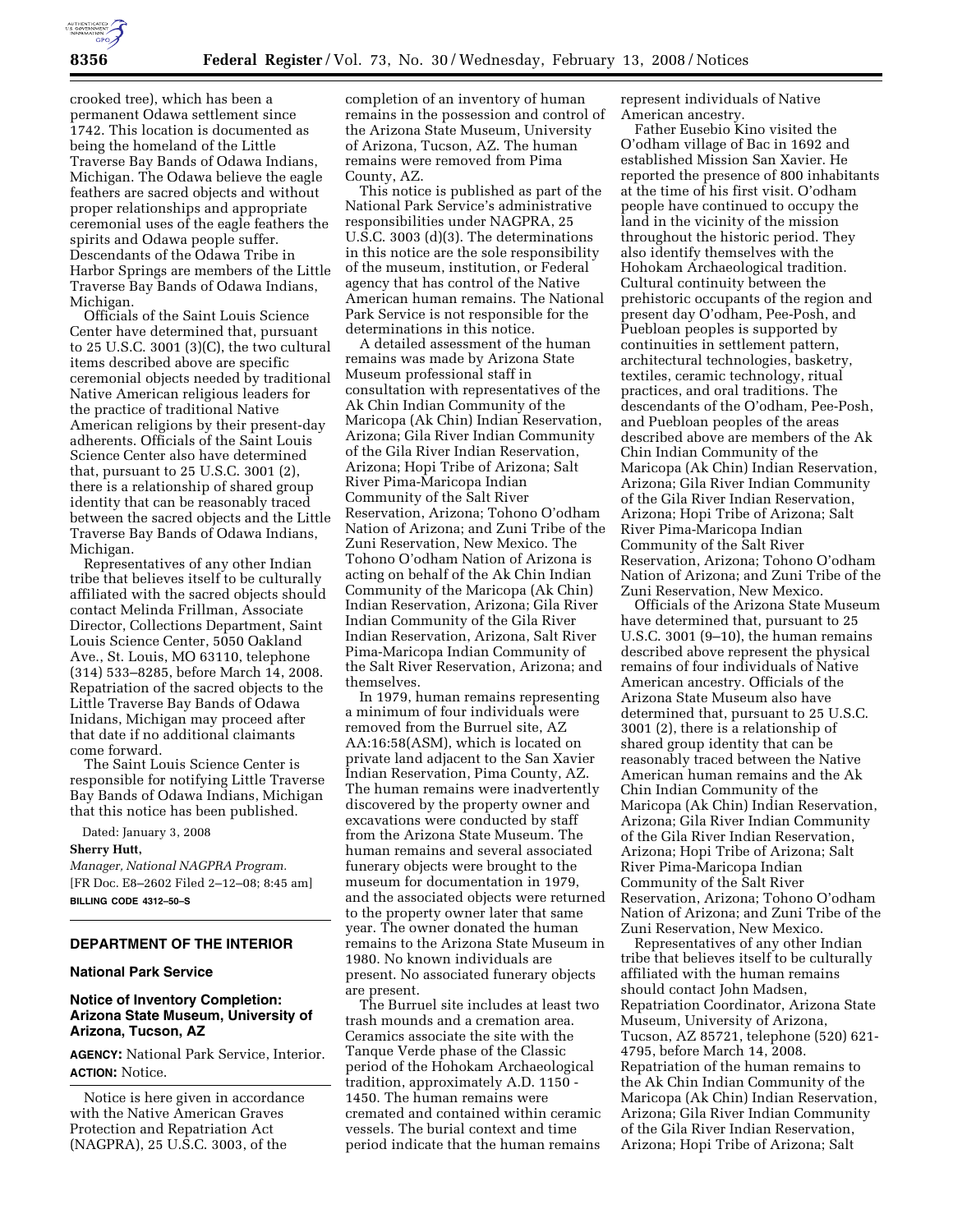

crooked tree), which has been a permanent Odawa settlement since 1742. This location is documented as being the homeland of the Little Traverse Bay Bands of Odawa Indians, Michigan. The Odawa believe the eagle feathers are sacred objects and without proper relationships and appropriate ceremonial uses of the eagle feathers the spirits and Odawa people suffer. Descendants of the Odawa Tribe in Harbor Springs are members of the Little Traverse Bay Bands of Odawa Indians, Michigan.

Officials of the Saint Louis Science Center have determined that, pursuant to 25 U.S.C. 3001 (3)(C), the two cultural items described above are specific ceremonial objects needed by traditional Native American religious leaders for the practice of traditional Native American religions by their present-day adherents. Officials of the Saint Louis Science Center also have determined that, pursuant to 25 U.S.C. 3001 (2), there is a relationship of shared group identity that can be reasonably traced between the sacred objects and the Little Traverse Bay Bands of Odawa Indians, Michigan.

Representatives of any other Indian tribe that believes itself to be culturally affiliated with the sacred objects should contact Melinda Frillman, Associate Director, Collections Department, Saint Louis Science Center, 5050 Oakland Ave., St. Louis, MO 63110, telephone (314) 533–8285, before March 14, 2008. Repatriation of the sacred objects to the Little Traverse Bay Bands of Odawa Inidans, Michigan may proceed after that date if no additional claimants come forward.

The Saint Louis Science Center is responsible for notifying Little Traverse Bay Bands of Odawa Indians, Michigan that this notice has been published.

Dated: January 3, 2008

#### **Sherry Hutt,**

*Manager, National NAGPRA Program.*  [FR Doc. E8–2602 Filed 2–12–08; 8:45 am] **BILLING CODE 4312–50–S** 

# **DEPARTMENT OF THE INTERIOR**

### **National Park Service**

## **Notice of Inventory Completion: Arizona State Museum, University of Arizona, Tucson, AZ**

**AGENCY:** National Park Service, Interior. **ACTION:** Notice.

Notice is here given in accordance with the Native American Graves Protection and Repatriation Act (NAGPRA), 25 U.S.C. 3003, of the

completion of an inventory of human remains in the possession and control of the Arizona State Museum, University of Arizona, Tucson, AZ. The human remains were removed from Pima County, AZ.

This notice is published as part of the National Park Service's administrative responsibilities under NAGPRA, 25 U.S.C. 3003 (d)(3). The determinations in this notice are the sole responsibility of the museum, institution, or Federal agency that has control of the Native American human remains. The National Park Service is not responsible for the determinations in this notice.

A detailed assessment of the human remains was made by Arizona State Museum professional staff in consultation with representatives of the Ak Chin Indian Community of the Maricopa (Ak Chin) Indian Reservation, Arizona; Gila River Indian Community of the Gila River Indian Reservation, Arizona; Hopi Tribe of Arizona; Salt River Pima-Maricopa Indian Community of the Salt River Reservation, Arizona; Tohono O'odham Nation of Arizona; and Zuni Tribe of the Zuni Reservation, New Mexico. The Tohono O'odham Nation of Arizona is acting on behalf of the Ak Chin Indian Community of the Maricopa (Ak Chin) Indian Reservation, Arizona; Gila River Indian Community of the Gila River Indian Reservation, Arizona, Salt River Pima-Maricopa Indian Community of the Salt River Reservation, Arizona; and themselves.

In 1979, human remains representing a minimum of four individuals were removed from the Burruel site, AZ AA:16:58(ASM), which is located on private land adjacent to the San Xavier Indian Reservation, Pima County, AZ. The human remains were inadvertently discovered by the property owner and excavations were conducted by staff from the Arizona State Museum. The human remains and several associated funerary objects were brought to the museum for documentation in 1979, and the associated objects were returned to the property owner later that same year. The owner donated the human remains to the Arizona State Museum in 1980. No known individuals are present. No associated funerary objects are present.

The Burruel site includes at least two trash mounds and a cremation area. Ceramics associate the site with the Tanque Verde phase of the Classic period of the Hohokam Archaeological tradition, approximately A.D. 1150 - 1450. The human remains were cremated and contained within ceramic vessels. The burial context and time period indicate that the human remains

represent individuals of Native American ancestry.

Father Eusebio Kino visited the O'odham village of Bac in 1692 and established Mission San Xavier. He reported the presence of 800 inhabitants at the time of his first visit. O'odham people have continued to occupy the land in the vicinity of the mission throughout the historic period. They also identify themselves with the Hohokam Archaeological tradition. Cultural continuity between the prehistoric occupants of the region and present day O'odham, Pee-Posh, and Puebloan peoples is supported by continuities in settlement pattern, architectural technologies, basketry, textiles, ceramic technology, ritual practices, and oral traditions. The descendants of the O'odham, Pee-Posh, and Puebloan peoples of the areas described above are members of the Ak Chin Indian Community of the Maricopa (Ak Chin) Indian Reservation, Arizona; Gila River Indian Community of the Gila River Indian Reservation, Arizona; Hopi Tribe of Arizona; Salt River Pima-Maricopa Indian Community of the Salt River Reservation, Arizona; Tohono O'odham Nation of Arizona; and Zuni Tribe of the Zuni Reservation, New Mexico.

Officials of the Arizona State Museum have determined that, pursuant to 25 U.S.C. 3001 (9–10), the human remains described above represent the physical remains of four individuals of Native American ancestry. Officials of the Arizona State Museum also have determined that, pursuant to 25 U.S.C. 3001 (2), there is a relationship of shared group identity that can be reasonably traced between the Native American human remains and the Ak Chin Indian Community of the Maricopa (Ak Chin) Indian Reservation, Arizona; Gila River Indian Community of the Gila River Indian Reservation, Arizona; Hopi Tribe of Arizona; Salt River Pima-Maricopa Indian Community of the Salt River Reservation, Arizona; Tohono O'odham Nation of Arizona; and Zuni Tribe of the Zuni Reservation, New Mexico.

Representatives of any other Indian tribe that believes itself to be culturally affiliated with the human remains should contact John Madsen, Repatriation Coordinator, Arizona State Museum, University of Arizona, Tucson, AZ 85721, telephone (520) 621- 4795, before March 14, 2008. Repatriation of the human remains to the Ak Chin Indian Community of the Maricopa (Ak Chin) Indian Reservation, Arizona; Gila River Indian Community of the Gila River Indian Reservation, Arizona; Hopi Tribe of Arizona; Salt